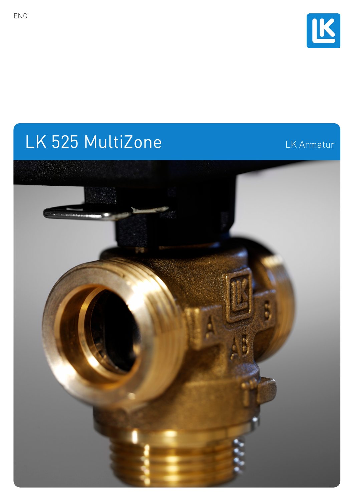

# LK 525 MultiZone LK Armatur

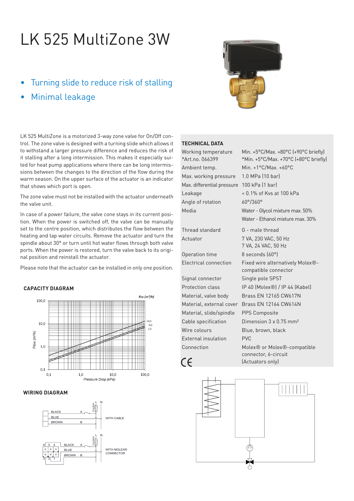## LK 525 MultiZone 3W

- Turning slide to reduce risk of stalling
- Minimal leakage



#### LK 525 MultiZone is a motorized 3-way zone valve for On/Off control. The zone valve is designed with a turning slide which allows it to withstand a larger pressure difference and reduces the risk of it stalling after a long intermission. This makes it especially suited for heat pump applications where there can be long intermissions between the changes to the direction of the flow during the warm season. On the upper surface of the actuator is an indicator that shows which port is open.

The zone valve must not be installed with the actuator underneath the valve unit.

In case of a power failure, the valve cone stays in its current position. When the power is switched off, the valve can be manually set to the centre position, which distributes the flow between the heating and tap water circuits. Remove the actuator and turn the spindle about 30° or turn until hot water flows through both valve ports. When the power is restored, turn the valve back to its original position and reinstall the actuator.

Please note that the actuator can be installed in only one position.

### **CAPACITY DIAGRAM**



#### **WIRING DIAGRAM**



#### **TECHNICAL DATA**

| Working temperature<br>*Art.no. 066399 | Min. $+5^{\circ}$ C/Max. $+80^{\circ}$ C (+90 $^{\circ}$ C briefly)<br>*Min. +5°C/Max. +70°C (+80°C briefly) |
|----------------------------------------|--------------------------------------------------------------------------------------------------------------|
| Ambient temp.                          | Min. $+1^{\circ}$ C/Max. $+60^{\circ}$ C                                                                     |
| Max. working pressure                  | 1.0 MPa (10 bar)                                                                                             |
| Max. differential pressure             | 100 kPa (1 bar)                                                                                              |
| Leakage                                | < 0.1% of Kvs at 100 kPa                                                                                     |
| Angle of rotation                      | $60^{\circ}/360^{\circ}$                                                                                     |
| Media                                  | Water - Glycol mixture max. 50%                                                                              |
|                                        | Water - Ethanol mixture max. 30%                                                                             |
| Thread standard                        | G - male thread                                                                                              |
| Actuator                               | 7 VA, 230 VAC, 50 Hz<br>7 VA, 24 VAC, 50 Hz                                                                  |
| Operation time                         | 8 seconds (60°)                                                                                              |
| Electrical connection                  | Fixed wire alternatively Molex®-<br>compatible connector                                                     |
| Signal connector                       | Single pole SPST                                                                                             |
| <b>Protection class</b>                | IP 40 (Molex®) / IP 44 (Kabel)                                                                               |
| Material, valve body                   | Brass EN 12165 CW617N                                                                                        |
| Material, external cover               | Brass EN 12164 CW614N                                                                                        |
| والموزوم وامزاه امزووه                 | $\mathsf{DDC}$ $\mathsf{C}$ and $\mathsf{C}$ and $\mathsf{C}$                                                |

 $1.0 MPa$   $(10 bar)$ 100 kPa (1 bar)  $< 0.1\%$  of Kvs at 100 kPa  $60^{\circ}/360^{\circ}$ Water - Glycol mixture max. 50% Water - Ethanol mixture max. 30% G - male thread 7 VA, 230 VAC, 50 Hz 7 VA, 24 VAC, 50 Hz 8 seconds (60°) Fixed wire alternatively Molex®compatible connector Single pole SPST IP 40 (Molex®) / IP 44 (Kabel) **Brass FN 12165 CW617N** Brass EN 12164 CW614N Material, slide/spindle PPS Composite Cable specification Dimension 3 x 0.75 mm<sup>2</sup> Wire colours **Blue, brown, black**  External insulation PVC Connection Molex® or Molex®-compatible connector, 6-circuit (Actuators only)



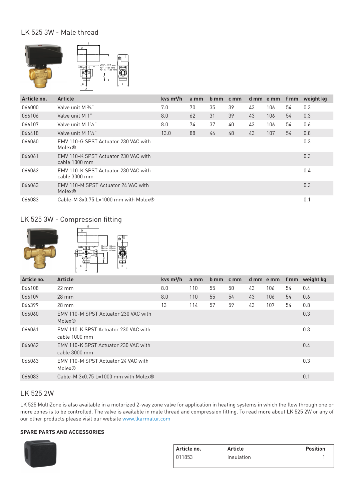## LK 525 3W - Male thread



| Article no. | <b>Article</b>                                            | kys $m^3/h$ | a mm | b mm | cm <sub>m</sub> |    | d mm e mm | f mm | weight kg |
|-------------|-----------------------------------------------------------|-------------|------|------|-----------------|----|-----------|------|-----------|
| 066000      | Valve unit M $\frac{3}{4}$ "                              | 7.0         | 70   | 35   | 39              | 43 | 106       | 54   | 0.3       |
| 066106      | Valve unit M 1"                                           | 8.0         | 62   | 31   | 39              | 43 | 106       | 54   | 0.3       |
| 066107      | Valve unit M 11/4"                                        | 8.0         | 74   | 37   | 40              | 43 | 106       | 54   | 0.6       |
| 066418      | Valve unit M 11/4"                                        | 13.0        | 88   | 44   | 48              | 43 | 107       | 54   | 0.8       |
| 066060      | EMV 110-G SPST Actuator 230 VAC with<br>Molex®            |             |      |      |                 |    |           |      | 0.3       |
| 066061      | EMV 110-K SPST Actuator 230 VAC with<br>cable 1000 mm     |             |      |      |                 |    |           |      | 0.3       |
| 066062      | EMV 110-K SPST Actuator 230 VAC with<br>cable 3000 mm     |             |      |      |                 |    |           |      | 0.4       |
| 066063      | EMV 110-M SPST Actuator 24 VAC with<br>Molex <sup>®</sup> |             |      |      |                 |    |           |      | 0.3       |
| 066083      | Cable-M $3x0.75$ L=1000 mm with Molex <sup>®</sup>        |             |      |      |                 |    |           |      | 0.1       |

## LK 525 3W - Compression fitting



| weight kg |
|-----------|
|           |
|           |
|           |
|           |
|           |
|           |
|           |
|           |
|           |

## LK 525 2W

LK 525 MultiZone is also available in a motorized 2-way zone valve for application in heating systems in which the flow through one or more zones is to be controlled. The valve is available in male thread and compression fitting. To read more about LK 525 2W or any of our other products please visit our website www.lkarmatur.com

### **SPARE PARTS AND ACCESSORIES**



| Article no. | Article    | <b>Position</b> |
|-------------|------------|-----------------|
| 011853      | Insulation |                 |